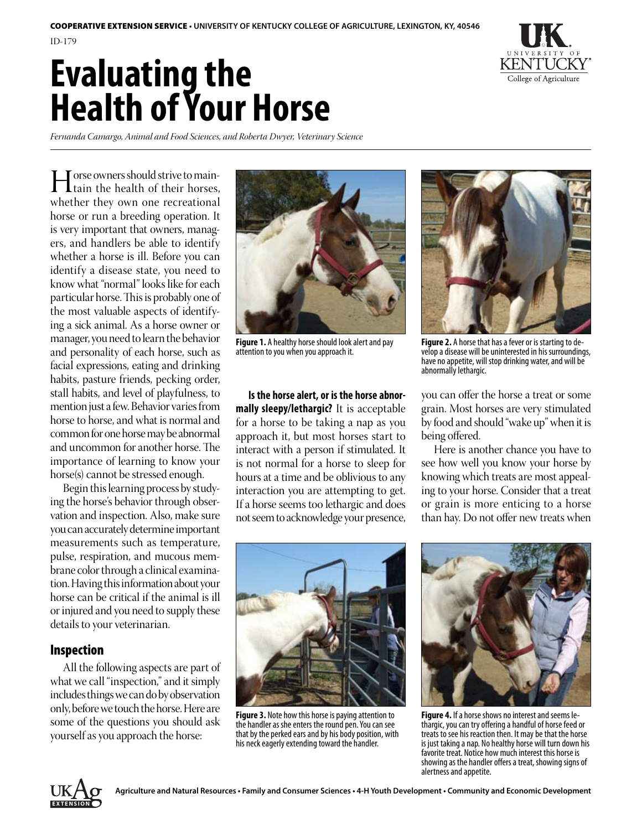# **Evaluating the Health of Your Horse**



*Fernanda Camargo, Animal and Food Sciences, and Roberta Dwyer, Veterinary Science*

I orse owners should strive to main-<br>tain the health of their horses,<br>whether they own one recreational whether they own one recreational horse or run a breeding operation. It is very important that owners, managers, and handlers be able to identify whether a horse is ill. Before you can identify a disease state, you need to know what "normal" looks like for each particular horse. This is probably one of the most valuable aspects of identifying a sick animal. As a horse owner or manager, you need to learn the behavior and personality of each horse, such as facial expressions, eating and drinking habits, pasture friends, pecking order, stall habits, and level of playfulness, to mention just a few. Behavior varies from horse to horse, and what is normal and common for one horse may be abnormal and uncommon for another horse. The importance of learning to know your horse(s) cannot be stressed enough.

Begin this learning process by studying the horse's behavior through observation and inspection. Also, make sure you can accurately determine important measurements such as temperature, pulse, respiration, and mucous membrane color through a clinical examination. Having this information about your horse can be critical if the animal is ill or injured and you need to supply these details to your veterinarian.

# Inspection

All the following aspects are part of what we call "inspection," and it simply includes things we can do by observation only, before we touch the horse. Here are some of the questions you should ask yourself as you approach the horse:



**Figure 1.** A healthy horse should look alert and pay attention to you when you approach it.

**Is the horse alert, or is the horse abnormally sleepy/lethargic?** It is acceptable for a horse to be taking a nap as you approach it, but most horses start to interact with a person if stimulated. It is not normal for a horse to sleep for hours at a time and be oblivious to any interaction you are attempting to get. If a horse seems too lethargic and does not seem to acknowledge your presence,



**Figure 2.** A horse that has a fever or is starting to de-<br>velop a disease will be uninterested in his surroundings, have no appetite, will stop drinking water, and will be abnormally lethargic.

you can offer the horse a treat or some grain. Most horses are very stimulated by food and should "wake up" when it is being offered.

Here is another chance you have to see how well you know your horse by knowing which treats are most appealing to your horse. Consider that a treat or grain is more enticing to a horse than hay. Do not offer new treats when



**Figure 3.** Note how this horse is paying attention to the handler as she enters the round pen. You can see that by the perked ears and by his body position, with his neck eagerly extending toward the handler.



**Figure 4.** If a horse shows no interest and seems le-<br>thargic, you can try offering a handful of horse feed or treats to see his reaction then. It may be that the horse is just taking a nap. No healthy horse will turn down his favorite treat. Notice how much interest this horse is showing as the handler offers a treat, showing signs of alertness and appetite.

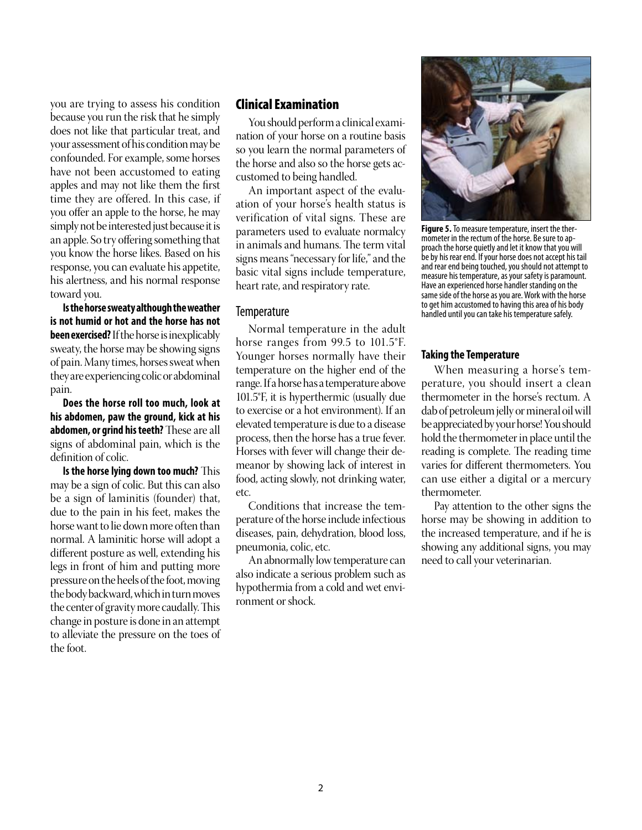you are trying to assess his condition because you run the risk that he simply does not like that particular treat, and your assessment of his condition may be confounded. For example, some horses have not been accustomed to eating apples and may not like them the first time they are offered. In this case, if you offer an apple to the horse, he may simply not be interested just because it is an apple. So try offering something that you know the horse likes. Based on his response, you can evaluate his appetite, his alertness, and his normal response toward you.

**Is the horse sweaty although the weather is not humid or hot and the horse has not been exercised?** If the horse is inexplicably sweaty, the horse may be showing signs of pain. Many times, horses sweat when they are experiencing colic or abdominal pain.

**Does the horse roll too much, look at his abdomen, paw the ground, kick at his abdomen, or grind his teeth?** These are all signs of abdominal pain, which is the definition of colic.

**Is the horse lying down too much?** This may be a sign of colic. But this can also be a sign of laminitis (founder) that, due to the pain in his feet, makes the horse want to lie down more often than normal. A laminitic horse will adopt a different posture as well, extending his legs in front of him and putting more pressure on the heels of the foot, moving the body backward, which in turn moves the center of gravity more caudally. This change in posture is done in an attempt to alleviate the pressure on the toes of the foot.

## Clinical Examination

You should perform a clinical examination of your horse on a routine basis so you learn the normal parameters of the horse and also so the horse gets accustomed to being handled.

An important aspect of the evaluation of your horse's health status is verification of vital signs. These are parameters used to evaluate normalcy in animals and humans. The term vital signs means "necessary for life," and the basic vital signs include temperature, heart rate, and respiratory rate.

#### **Temperature**

Normal temperature in the adult horse ranges from 99.5 to 101.5°F. Younger horses normally have their temperature on the higher end of the range. If a horse has a temperature above 101.5°F, it is hyperthermic (usually due to exercise or a hot environment). If an elevated temperature is due to a disease process, then the horse has a true fever. Horses with fever will change their demeanor by showing lack of interest in food, acting slowly, not drinking water, etc.

Conditions that increase the temperature of the horse include infectious diseases, pain, dehydration, blood loss, pneumonia, colic, etc.

An abnormally low temperature can also indicate a serious problem such as hypothermia from a cold and wet environment or shock.



**Figure 5.** To measure temperature, insert the ther-<br>mometer in the rectum of the horse. Be sure to ap-<br>proach the horse quietly and let it know that you will be by his rear end. If your horse does not accept his tail and rear end being touched, you should not attempt to measure his temperature, as your safety is paramount. Have an experienced horse handler standing on the same side of the horse as you are. Work with the horse to get him accustomed to having this area of his body handled until you can take his temperature safely.

#### **Taking the Temperature**

When measuring a horse's temperature, you should insert a clean thermometer in the horse's rectum. A dab of petroleum jelly or mineral oil will be appreciated by your horse! You should hold the thermometer in place until the reading is complete. The reading time varies for different thermometers. You can use either a digital or a mercury thermometer.

Pay attention to the other signs the horse may be showing in addition to the increased temperature, and if he is showing any additional signs, you may need to call your veterinarian.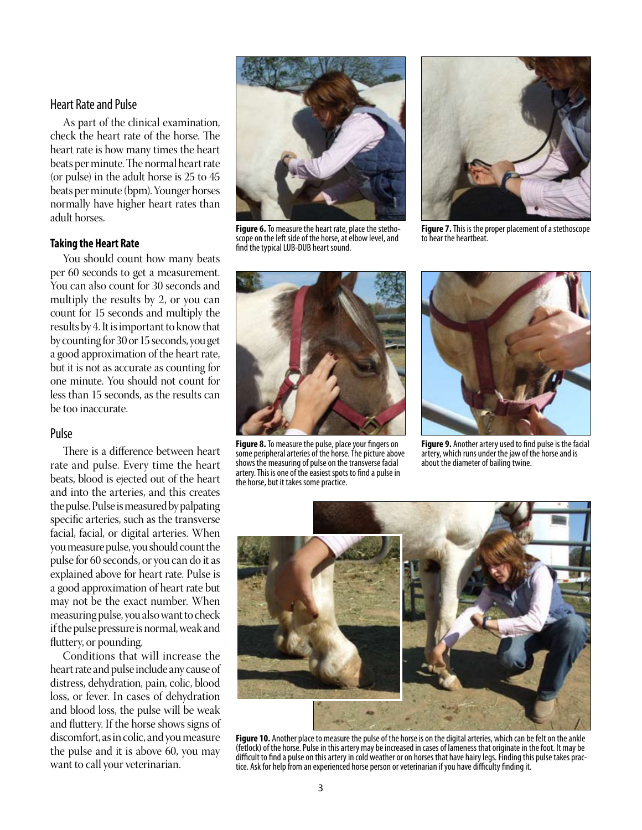## Heart Rate and Pulse

As part of the clinical examination, check the heart rate of the horse. The heart rate is how many times the heart beats per minute. The normal heart rate (or pulse) in the adult horse is 25 to 45 beats per minute (bpm). Younger horses normally have higher heart rates than adult horses.

#### **Taking the Heart Rate**

You should count how many beats per 60 seconds to get a measurement. You can also count for 30 seconds and multiply the results by 2, or you can count for 15 seconds and multiply the results by 4. It is important to know that by counting for 30 or 15 seconds, you get a good approximation of the heart rate, but it is not as accurate as counting for one minute. You should not count for less than 15 seconds, as the results can be too inaccurate.

## Pulse

There is a difference between heart rate and pulse. Every time the heart beats, blood is ejected out of the heart and into the arteries, and this creates the pulse. Pulse is measured by palpating specific arteries, such as the transverse facial, facial, or digital arteries. When you measure pulse, you should count the pulse for 60 seconds, or you can do it as explained above for heart rate. Pulse is a good approximation of heart rate but may not be the exact number. When measuring pulse, you also want to check if the pulse pressure is normal, weak and fluttery, or pounding.

Conditions that will increase the heart rate and pulse include any cause of distress, dehydration, pain, colic, blood loss, or fever. In cases of dehydration and blood loss, the pulse will be weak and fluttery. If the horse shows signs of discomfort, as in colic, and you measure the pulse and it is above 60, you may want to call your veterinarian.



**Figure 6.** To measure the heart rate, place the stetho-<br>scope on the left side of the horse, at elbow level, and find the typical LUB-DUB heart sound.



**Figure 7.** This is the proper placement of a stethoscope to hear the heartbeat.



**Figure 8.** To measure the pulse, place your fingers on some peripheral arteries of the horse. The picture above shows the measuring of pulse on the transverse facial artery. This is one of the easiest spots to find a pulse in the horse, but it takes some practice.



**Figure 9.** Another artery used to find pulse is the facial artery, which runs under the jaw of the horse and is about the diameter of bailing twine.



**Figure 10.** Another place to measure the pulse of the horse is on the digital arteries, which can be felt on the ankle (fetlock) of the horse. Pulse in this artery may be increased in cases of lameness that originate in the foot. It may be difficult to find a pulse on this artery in cold weather or on horses that have hairy legs. Finding this pulse takes prac-<br>tice. Ask for help from an experienced horse person or veterinarian if you have difficulty finding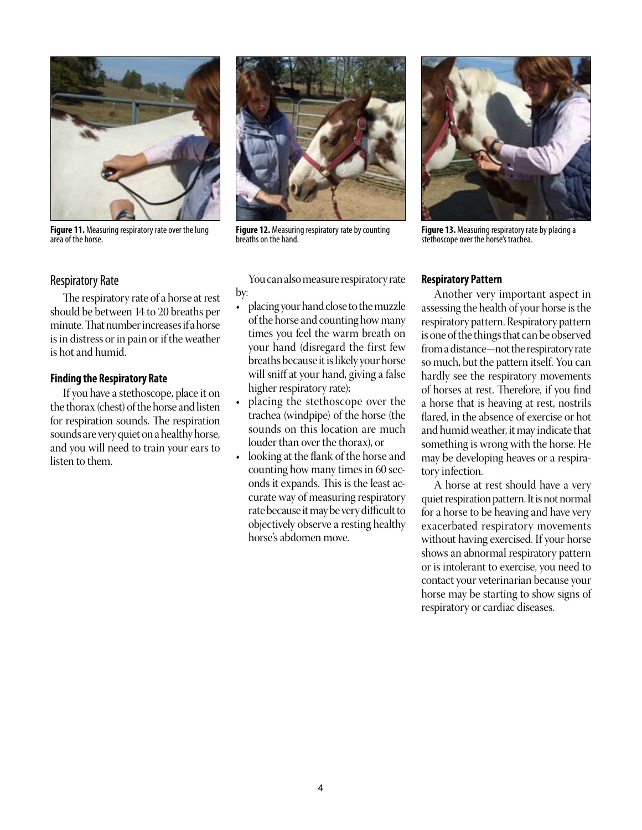

**Figure 11.** Measuring respiratory rate over the lung area of the horse.

## Respiratory Rate

The respiratory rate of a horse at rest should be between 14 to 20 breaths per minute. That number increases if a horse is in distress or in pain or if the weather is hot and humid.

#### **Finding the Respiratory Rate**

If you have a stethoscope, place it on the thorax (chest) of the horse and listen for respiration sounds. The respiration sounds are very quiet on a healthy horse, and you will need to train your ears to listen to them.



**Figure 12.** Measuring respiratory rate by counting breaths on the hand.

You can also measure respiratory rate by:

- placing your hand close to the muzzle of the horse and counting how many times you feel the warm breath on your hand (disregard the first few breaths because it is likely your horse will sniff at your hand, giving a false higher respiratory rate);
- placing the stethoscope over the trachea (windpipe) of the horse (the sounds on this location are much louder than over the thorax), or
- looking at the flank of the horse and counting how many times in 60 seconds it expands. This is the least accurate way of measuring respiratory rate because it may be very difficult to objectively observe a resting healthy horse's abdomen move.



**Figure 13.** Measuring respiratory rate by placing a stethoscope over the horse's trachea.

#### **Respiratory Pattern**

Another very important aspect in assessing the health of your horse is the respiratory pattern. Respiratory pattern is one of the things that can be observed from a distance—not the respiratory rate so much, but the pattern itself. You can hardly see the respiratory movements of horses at rest. Therefore, if you find a horse that is heaving at rest, nostrils flared, in the absence of exercise or hot and humid weather, it may indicate that something is wrong with the horse. He may be developing heaves or a respiratory infection.

A horse at rest should have a very quiet respiration pattern. It is not normal for a horse to be heaving and have very exacerbated respiratory movements without having exercised. If your horse shows an abnormal respiratory pattern or is intolerant to exercise, you need to contact your veterinarian because your horse may be starting to show signs of respiratory or cardiac diseases.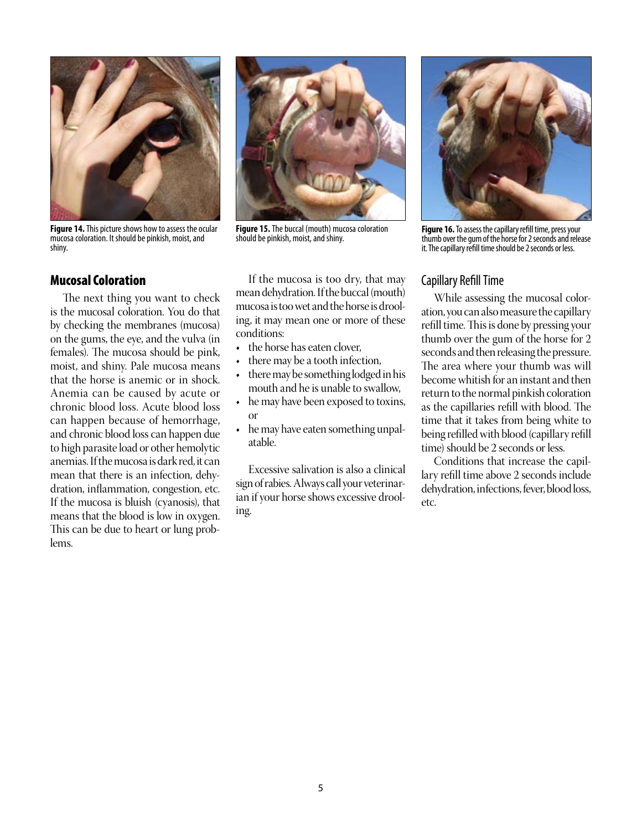

**Figure 14.** This picture shows how to assess the ocular mucosa coloration. It should be pinkish, moist, and shiny.

#### Mucosal Coloration

The next thing you want to check is the mucosal coloration. You do that by checking the membranes (mucosa) on the gums, the eye, and the vulva (in females). The mucosa should be pink, moist, and shiny. Pale mucosa means that the horse is anemic or in shock. Anemia can be caused by acute or chronic blood loss. Acute blood loss can happen because of hemorrhage, and chronic blood loss can happen due to high parasite load or other hemolytic anemias. If the mucosa is dark red, it can mean that there is an infection, dehydration, inflammation, congestion, etc. If the mucosa is bluish (cyanosis), that means that the blood is low in oxygen. This can be due to heart or lung problems.



**Figure 15.** The buccal (mouth) mucosa coloration should be pinkish, moist, and shiny.

If the mucosa is too dry, that may mean dehydration. If the buccal (mouth) mucosa is too wet and the horse is drooling, it may mean one or more of these conditions:

- the horse has eaten clover,
- there may be a tooth infection, there may be something lodged in his
- mouth and he is unable to swallow,
- he may have been exposed to toxins, or
- he may have eaten something unpalatable.

Excessive salivation is also a clinical sign of rabies. Always call your veterinarian if your horse shows excessive drooling.



**Figure 16.** To assess the capillary refill time, press your thumb over the gum of the horse for 2 seconds and release it. The capillary refill time should be 2 seconds or less.

## Capillary Refill Time

While assessing the mucosal coloration, you can also measure the capillary refill time. This is done by pressing your thumb over the gum of the horse for 2 seconds and then releasing the pressure. The area where your thumb was will become whitish for an instant and then return to the normal pinkish coloration as the capillaries refill with blood. The time that it takes from being white to being refilled with blood (capillary refill time) should be 2 seconds or less.

Conditions that increase the capillary refill time above 2 seconds include dehydration, infections, fever, blood loss, etc.